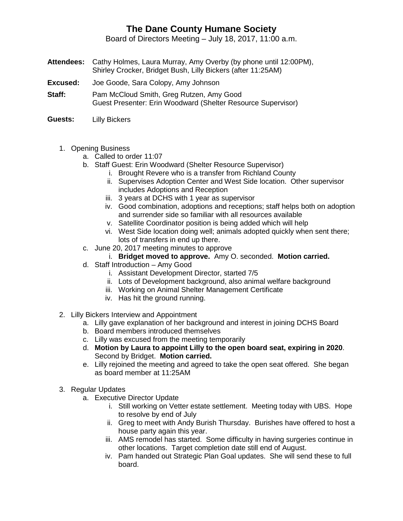## **The Dane County Humane Society**

Board of Directors Meeting – July 18, 2017, 11:00 a.m.

- **Attendees:** Cathy Holmes, Laura Murray, Amy Overby (by phone until 12:00PM), Shirley Crocker, Bridget Bush, Lilly Bickers (after 11:25AM)
- **Excused:** Joe Goode, Sara Colopy, Amy Johnson
- **Staff:** Pam McCloud Smith, Greg Rutzen, Amy Good Guest Presenter: Erin Woodward (Shelter Resource Supervisor)
- **Guests:** Lilly Bickers
	- 1. Opening Business
		- a. Called to order 11:07
		- b. Staff Guest: Erin Woodward (Shelter Resource Supervisor)
			- i. Brought Revere who is a transfer from Richland County
			- ii. Supervises Adoption Center and West Side location. Other supervisor includes Adoptions and Reception
			- iii. 3 years at DCHS with 1 year as supervisor
			- iv. Good combination, adoptions and receptions; staff helps both on adoption and surrender side so familiar with all resources available
			- v. Satellite Coordinator position is being added which will help
			- vi. West Side location doing well; animals adopted quickly when sent there; lots of transfers in end up there.
		- c. June 20, 2017 meeting minutes to approve
			- i. **Bridget moved to approve.** Amy O. seconded. **Motion carried.**
		- d. Staff Introduction Amy Good
			- i. Assistant Development Director, started 7/5
			- ii. Lots of Development background, also animal welfare background
			- iii. Working on Animal Shelter Management Certificate
			- iv. Has hit the ground running.
	- 2. Lilly Bickers Interview and Appointment
		- a. Lilly gave explanation of her background and interest in joining DCHS Board
		- b. Board members introduced themselves
		- c. Lilly was excused from the meeting temporarily
		- d. **Motion by Laura to appoint Lilly to the open board seat, expiring in 2020**. Second by Bridget. **Motion carried.**
		- e. Lilly rejoined the meeting and agreed to take the open seat offered. She began as board member at 11:25AM
	- 3. Regular Updates
		- a. Executive Director Update
			- i. Still working on Vetter estate settlement. Meeting today with UBS. Hope to resolve by end of July
			- ii. Greg to meet with Andy Burish Thursday. Burishes have offered to host a house party again this year.
			- iii. AMS remodel has started. Some difficulty in having surgeries continue in other locations. Target completion date still end of August.
			- iv. Pam handed out Strategic Plan Goal updates. She will send these to full board.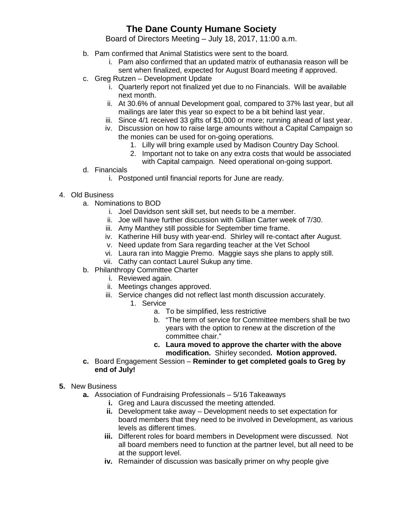## **The Dane County Humane Society**

Board of Directors Meeting – July 18, 2017, 11:00 a.m.

- b. Pam confirmed that Animal Statistics were sent to the board.
	- i. Pam also confirmed that an updated matrix of euthanasia reason will be sent when finalized, expected for August Board meeting if approved.
- c. Greg Rutzen Development Update
	- i. Quarterly report not finalized yet due to no Financials. Will be available next month.
	- ii. At 30.6% of annual Development goal, compared to 37% last year, but all mailings are later this year so expect to be a bit behind last year.
	- iii. Since 4/1 received 33 gifts of \$1,000 or more; running ahead of last year.
	- iv. Discussion on how to raise large amounts without a Capital Campaign so the monies can be used for on-going operations.
		- 1. Lilly will bring example used by Madison Country Day School.
		- 2. Important not to take on any extra costs that would be associated with Capital campaign. Need operational on-going support.
- d. Financials
	- i. Postponed until financial reports for June are ready.
- 4. Old Business
	- a. Nominations to BOD
		- i. Joel Davidson sent skill set, but needs to be a member.
		- ii. Joe will have further discussion with Gillian Carter week of 7/30.
		- iii. Amy Manthey still possible for September time frame.
		- iv. Katherine Hill busy with year-end. Shirley will re-contact after August.
		- v. Need update from Sara regarding teacher at the Vet School
		- vi. Laura ran into Maggie Premo. Maggie says she plans to apply still.
		- vii. Cathy can contact Laurel Sukup any time.
	- b. Philanthropy Committee Charter
		- i. Reviewed again.
			- ii. Meetings changes approved.
			- iii. Service changes did not reflect last month discussion accurately.
				- 1. Service
					- a. To be simplified, less restrictive
						- b. "The term of service for Committee members shall be two years with the option to renew at the discretion of the committee chair."
					- **c. Laura moved to approve the charter with the above modification.** Shirley seconded**. Motion approved.**
	- **c.** Board Engagement Session **Reminder to get completed goals to Greg by end of July!**
- **5.** New Business
	- **a.** Association of Fundraising Professionals 5/16 Takeaways
		- **i.** Greg and Laura discussed the meeting attended.
		- **ii.** Development take away Development needs to set expectation for board members that they need to be involved in Development, as various levels as different times.
		- **iii.** Different roles for board members in Development were discussed. Not all board members need to function at the partner level, but all need to be at the support level.
		- **iv.** Remainder of discussion was basically primer on why people give